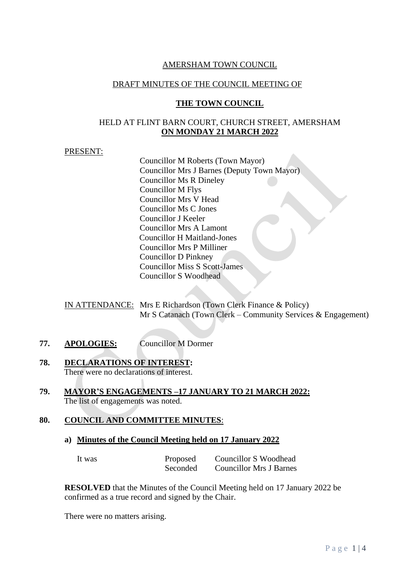#### AMERSHAM TOWN COUNCIL

#### DRAFT MINUTES OF THE COUNCIL MEETING OF

#### **THE TOWN COUNCIL**

#### HELD AT FLINT BARN COURT, CHURCH STREET, AMERSHAM **ON MONDAY 21 MARCH 2022**

## PRESENT:

Councillor M Roberts (Town Mayor) Councillor Mrs J Barnes (Deputy Town Mayor) Councillor Ms R Dineley Councillor M Flys Councillor Mrs V Head Councillor Ms C Jones Councillor J Keeler Councillor Mrs A Lamont Councillor H Maitland-Jones Councillor Mrs P Milliner Councillor D Pinkney Councillor Miss S Scott-James Councillor S Woodhead

IN ATTENDANCE: Mrs E Richardson (Town Clerk Finance & Policy) Mr S Catanach (Town Clerk – Community Services & Engagement)

- **77. APOLOGIES:** Councillor M Dormer
- **78. DECLARATIONS OF INTEREST:** There were no declarations of interest.
- **79. MAYOR'S ENGAGEMENTS –17 JANUARY TO 21 MARCH 2022:** The list of engagements was noted.

## **80. COUNCIL AND COMMITTEE MINUTES**:

**a) Minutes of the Council Meeting held on 17 January 2022**

| It was | Proposed | <b>Councillor S Woodhead</b>   |
|--------|----------|--------------------------------|
|        | Seconded | <b>Councillor Mrs J Barnes</b> |

**RESOLVED** that the Minutes of the Council Meeting held on 17 January 2022 be confirmed as a true record and signed by the Chair.

There were no matters arising.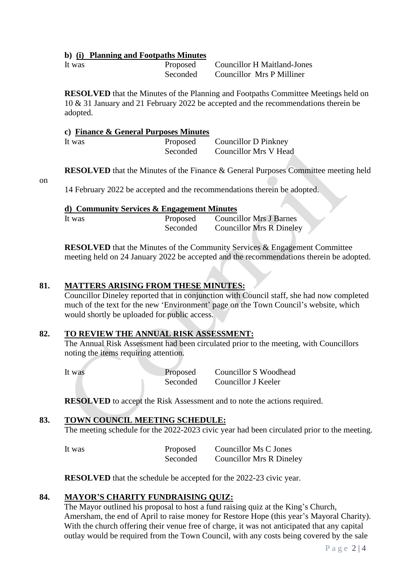#### **b) (i) Planning and Footpaths Minutes**

It was Proposed Councillor H Maitland-Jones Seconded Councillor Mrs P Milliner

**RESOLVED** that the Minutes of the Planning and Footpaths Committee Meetings held on 10 & 31 January and 21 February 2022 be accepted and the recommendations therein be adopted.

#### **c) Finance & General Purposes Minutes**

| It was | Proposed | Councillor D Pinkney  |
|--------|----------|-----------------------|
|        | Seconded | Councillor Mrs V Head |

**RESOLVED** that the Minutes of the Finance & General Purposes Committee meeting held

#### on

14 February 2022 be accepted and the recommendations therein be adopted.

#### **d) Community Services & Engagement Minutes**

| It was | Proposed | <b>Councillor Mrs J Barnes</b>  |
|--------|----------|---------------------------------|
|        | Seconded | <b>Councillor Mrs R Dineley</b> |

**RESOLVED** that the Minutes of the Community Services & Engagement Committee meeting held on 24 January 2022 be accepted and the recommendations therein be adopted.

#### **81. MATTERS ARISING FROM THESE MINUTES:**

Councillor Dineley reported that in conjunction with Council staff, she had now completed much of the text for the new 'Environment' page on the Town Council's website, which would shortly be uploaded for public access.

## **82. TO REVIEW THE ANNUAL RISK ASSESSMENT:**

The Annual Risk Assessment had been circulated prior to the meeting, with Councillors noting the items requiring attention.

It was Proposed Councillor S Woodhead Seconded Councillor J Keeler

**RESOLVED** to accept the Risk Assessment and to note the actions required.

## **83. TOWN COUNCIL MEETING SCHEDULE:**

The meeting schedule for the 2022-2023 civic year had been circulated prior to the meeting.

| It was | Proposed | Councillor Ms C Jones           |
|--------|----------|---------------------------------|
|        | Seconded | <b>Councillor Mrs R Dineley</b> |

**RESOLVED** that the schedule be accepted for the 2022-23 civic year.

## **84. MAYOR'S CHARITY FUNDRAISING QUIZ:**

The Mayor outlined his proposal to host a fund raising quiz at the King's Church, Amersham, the end of April to raise money for Restore Hope (this year's Mayoral Charity). With the church offering their venue free of charge, it was not anticipated that any capital outlay would be required from the Town Council, with any costs being covered by the sale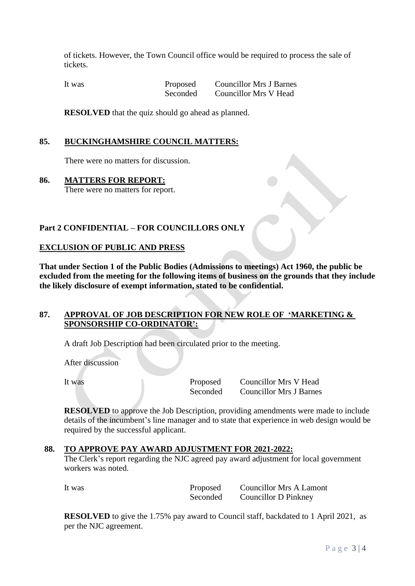of tickets. However, the Town Council office would be required to process the sale of tickets.

It was Proposed Councillor Mrs J Barnes Seconded Councillor Mrs V Head

**RESOLVED** that the quiz should go ahead as planned.

## **85. BUCKINGHAMSHIRE COUNCIL MATTERS:**

There were no matters for discussion.

#### **86. MATTERS FOR REPORT:**

There were no matters for report.

## **Part 2 CONFIDENTIAL – FOR COUNCILLORS ONLY**

## **EXCLUSION OF PUBLIC AND PRESS**

**That under Section 1 of the Public Bodies (Admissions to meetings) Act 1960, the public be excluded from the meeting for the following items of business on the grounds that they include the likely disclosure of exempt information, stated to be confidential.**

## **87. APPROVAL OF JOB DESCRIPTION FOR NEW ROLE OF 'MARKETING & SPONSORSHIP CO-ORDINATOR':**

A draft Job Description had been circulated prior to the meeting.

After discussion

It was Proposed Councillor Mrs V Head Seconded Councillor Mrs J Barnes

**RESOLVED** to approve the Job Description, providing amendments were made to include details of the incumbent's line manager and to state that experience in web design would be required by the successful applicant.

#### **88. TO APPROVE PAY AWARD ADJUSTMENT FOR 2021-2022:**

The Clerk's report regarding the NJC agreed pay award adjustment for local government workers was noted.

It was Proposed Councillor Mrs A Lamont Seconded Councillor D Pinkney

**RESOLVED** to give the 1.75% pay award to Council staff, backdated to 1 April 2021, as per the NJC agreement.